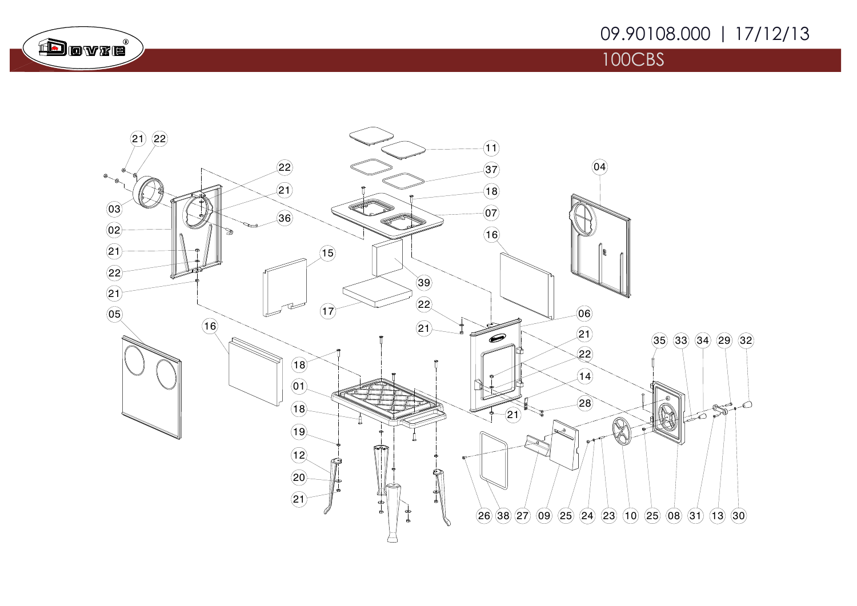## 09.90108.000 | 17/12/13